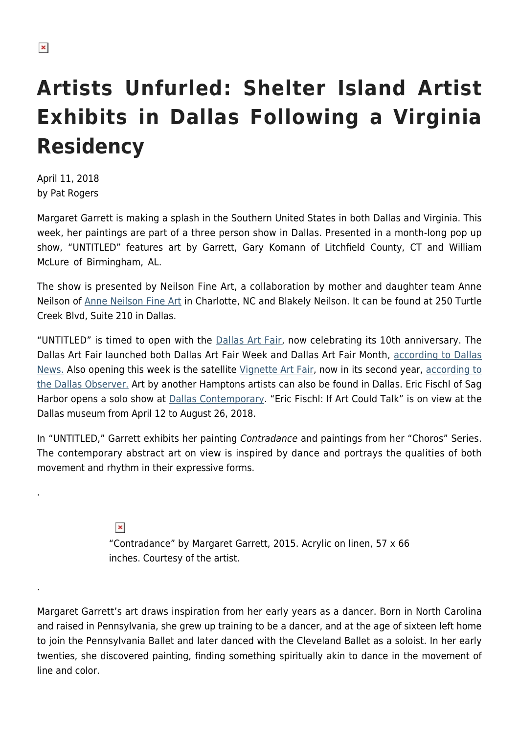## **Artists Unfurled: Shelter Island Artist Exhibits in Dallas Following a Virginia Residency**

April 11, 2018 by Pat Rogers

.

.

Margaret Garrett is making a splash in the Southern United States in both Dallas and Virginia. This week, her paintings are part of a three person show in Dallas. Presented in a month-long pop up show, "UNTITLED" features art by Garrett, Gary Komann of Litchfield County, CT and William McLure of Birmingham, AL.

The show is presented by Neilson Fine Art, a collaboration by mother and daughter team Anne Neilson of [Anne Neilson Fine Art](http://anneneilsonfineart.com/) in Charlotte, NC and Blakely Neilson. It can be found at 250 Turtle Creek Blvd, Suite 210 in Dallas.

"UNTITLED" is timed to open with the [Dallas Art Fair](https://www.dallasartfair.com/), now celebrating its 10th anniversary. The Dallas Art Fair launched both Dallas Art Fair Week and Dallas Art Fair Month, [according to Dallas](https://www.dallasnews.com/arts/visual-arts/2018/04/08/dallas-art-fair-turns-10-scene-bigger-brasher-ever-can-last) [News.](https://www.dallasnews.com/arts/visual-arts/2018/04/08/dallas-art-fair-turns-10-scene-bigger-brasher-ever-can-last) Also opening this week is the satellite [Vignette Art Fair,](https://www.texasvignette.org/) now in its second year, [according to](http://www.dallasobserver.com/arts/texas-vignette-is-a-nonprofit-aimed-at-bringing-attention-to-dallas-locals-and-women-10555757) [the Dallas Observer.](http://www.dallasobserver.com/arts/texas-vignette-is-a-nonprofit-aimed-at-bringing-attention-to-dallas-locals-and-women-10555757) Art by another Hamptons artists can also be found in Dallas. Eric Fischl of Sag Harbor opens a solo show at **[Dallas Contemporary](http://www.dallascontemporary.org/).** "Eric Fischl: If Art Could Talk" is on view at the Dallas museum from April 12 to August 26, 2018.

In "UNTITLED," Garrett exhibits her painting Contradance and paintings from her "Choros" Series. The contemporary abstract art on view is inspired by dance and portrays the qualities of both movement and rhythm in their expressive forms.

> $\pmb{\times}$ "Contradance" by Margaret Garrett, 2015. Acrylic on linen, 57 x 66 inches. Courtesy of the artist.

Margaret Garrett's art draws inspiration from her early years as a dancer. Born in North Carolina and raised in Pennsylvania, she grew up training to be a dancer, and at the age of sixteen left home to join the Pennsylvania Ballet and later danced with the Cleveland Ballet as a soloist. In her early twenties, she discovered painting, finding something spiritually akin to dance in the movement of line and color.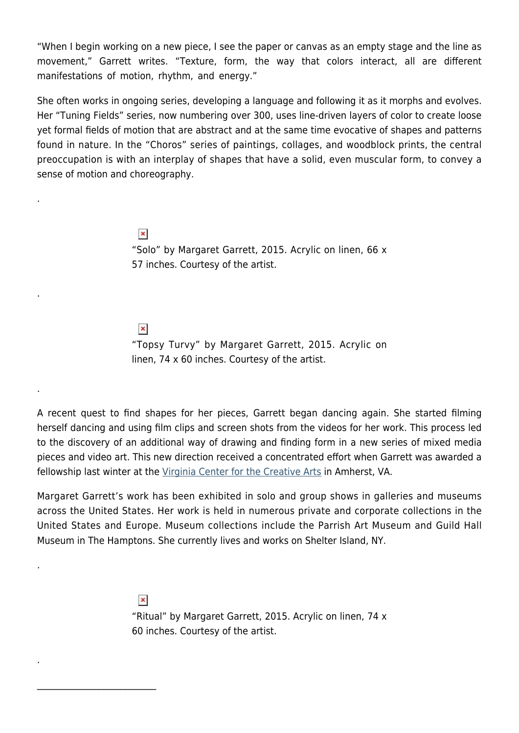"When I begin working on a new piece, I see the paper or canvas as an empty stage and the line as movement," Garrett writes. "Texture, form, the way that colors interact, all are different manifestations of motion, rhythm, and energy."

She often works in ongoing series, developing a language and following it as it morphs and evolves. Her "Tuning Fields" series, now numbering over 300, uses line-driven layers of color to create loose yet formal fields of motion that are abstract and at the same time evocative of shapes and patterns found in nature. In the "Choros" series of paintings, collages, and woodblock prints, the central preoccupation is with an interplay of shapes that have a solid, even muscular form, to convey a sense of motion and choreography.

> $\pmb{\times}$ "Solo" by Margaret Garrett, 2015. Acrylic on linen, 66 x 57 inches. Courtesy of the artist.

 $\pmb{\times}$ 

.

.

.

.

.

 $\mathcal{L}_\text{max}$  and  $\mathcal{L}_\text{max}$  and  $\mathcal{L}_\text{max}$ 

"Topsy Turvy" by Margaret Garrett, 2015. Acrylic on linen, 74 x 60 inches. Courtesy of the artist.

A recent quest to find shapes for her pieces, Garrett began dancing again. She started filming herself dancing and using film clips and screen shots from the videos for her work. This process led to the discovery of an additional way of drawing and finding form in a new series of mixed media pieces and video art. This new direction received a concentrated effort when Garrett was awarded a fellowship last winter at the [Virginia Center for the Creative Arts](http://vcca.com/main/) in Amherst, VA.

Margaret Garrett's work has been exhibited in solo and group shows in galleries and museums across the United States. Her work is held in numerous private and corporate collections in the United States and Europe. Museum collections include the Parrish Art Museum and Guild Hall Museum in The Hamptons. She currently lives and works on Shelter Island, NY.

> $\pmb{\times}$ "Ritual" by Margaret Garrett, 2015. Acrylic on linen, 74 x 60 inches. Courtesy of the artist.